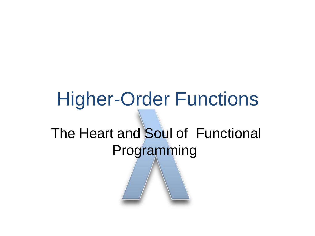# Higher-Order Functions The Heart and Soul of Functional Programming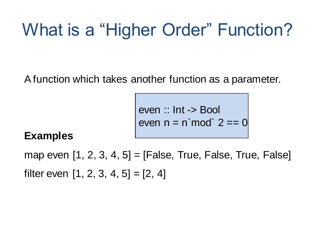#### What is a "Higher Order" Function?

A function which takes another function as a parameter.

even :: Int -> Bool even  $n = n \mod 2 == 0$ 

#### **Examples**

map even  $[1, 2, 3, 4, 5] = [False, True, False, True, False]$ filter even  $[1, 2, 3, 4, 5] = [2, 4]$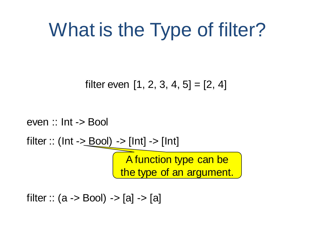### What is the Type of filter?

filter even  $[1, 2, 3, 4, 5] = [2, 4]$ 

even :: Int -> Bool filter :: ( $Int -\geq Bool$ ) ->  $[Int] -\geq [Int]$ A function type can be the type of an argument.

filter ::  $(a \rightarrow Bool) \rightarrow [a] \rightarrow [a]$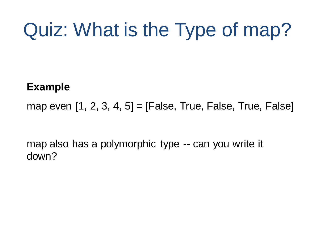# Quiz: What is the Type of map?

#### **Example**

map even  $[1, 2, 3, 4, 5] = [False, True, False, True, False]$ 

map also has a polymorphic type -- can you write it down?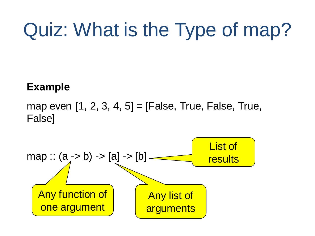# Quiz: What is the Type of map?

#### **Example**

map even  $[1, 2, 3, 4, 5] = [False, True, False, True,$ False]

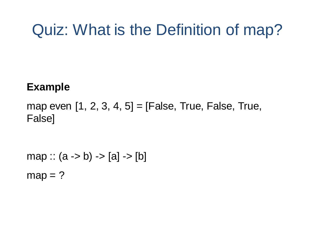#### Quiz: What is the Definition of map?

#### **Example**

map even  $[1, 2, 3, 4, 5] =$  [False, True, False, True, False]

map ::  $(a -> b) -> [a] -> [b]$  $map = ?$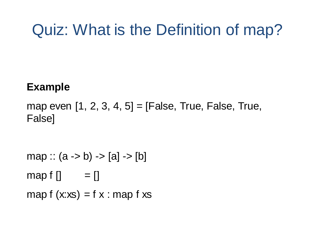#### Quiz: What is the Definition of map?

#### **Example**

map even  $[1, 2, 3, 4, 5] = [False, True, False, True,$ False]

```
map :: (a -> b) -> [a] -> [b]map f [] = []map f(x:xs) = f(x:map f xs)
```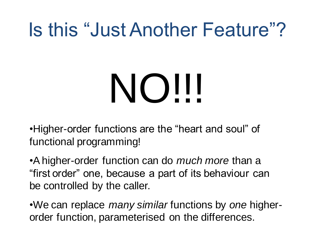#### Is this "Just Another Feature"?

# NO!!!

•Higher-order functions are the "heart and soul" of functional programming!

•A higher-order function can do *much more* than a "first order" one, because a part of its behaviour can be controlled by the caller.

•We can replace *many similar* functions by *one* higherorder function, parameterised on the differences.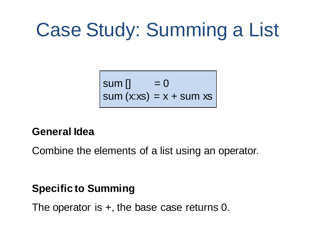# Case Study: Summing a List

$$
\begin{cases}\n\text{sum [} & = 0 \\
\text{sum (x:xs)} & = x + \text{sum xs}\n\end{cases}
$$

#### **General Idea**

Combine the elements of a list using an operator.

#### **Specific to Summing**

The operator is  $+$ , the base case returns 0.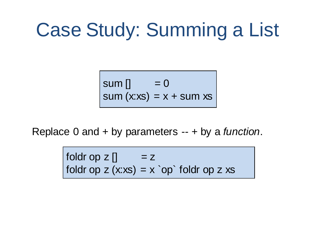### Case Study: Summing a List

sum [] = 0 sum (x:xs) = x + sum xs

Replace 0 and + by parameters -- + by a *function*.

foldr op  $z$  []  $= z$ foldr op  $z$  (x:xs) =  $x$  `op` foldr op  $z$  xs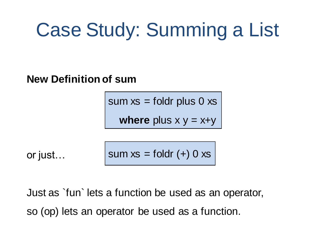### Case Study: Summing a List

**New Definition of sum**

sum  $xs =$  foldr plus 0  $xs$ 

**where** plus  $x y = x+y$ 

or just…

sum  $xs =$  foldr  $(+)$  0  $xs$ 

Just as `fun` lets a function be used as an operator, so (op) lets an operator be used as a function.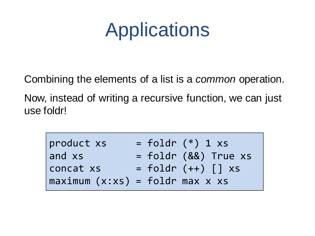### **Applications**

Combining the elements of a list is a *common* operation.

Now, instead of writing a recursive function, we can just use foldr!

| product xs                             | $=$ foldr $(*)$ 1 xs     |  |
|----------------------------------------|--------------------------|--|
| and xs                                 | $=$ foldr (&&) True $xs$ |  |
| concat xs                              | $=$ foldr $(++)$ [] $xs$ |  |
| $\Box$ maximum (x:xs) = foldr max x xs |                          |  |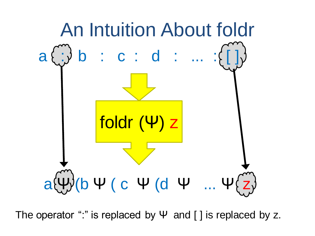

The operator ":" is replaced by  $\Psi$  and [] is replaced by z.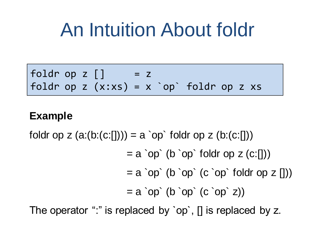#### An Intuition About foldr

foldr op  $z \mid \mid$  =  $z$ foldr op z  $(x:xs) = x$  `op' foldr op z xs

#### **Example**

foldr op z  $(a:(b:(c:[))) = a$  `op` foldr op z  $(b:(c:[))$ 

 $= a$  `op` (b `op` foldr op z  $(c:[1))$ 

 $= a$  `op` (b `op` (c `op` foldr op z []))

 $= a$  `op` (b `op` (c `op` z))

The operator ":" is replaced by `op`, [] is replaced by z.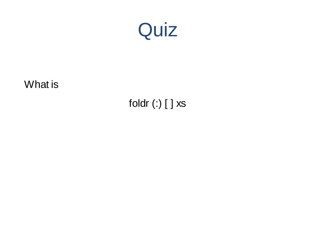

foldr (:) [ ] xs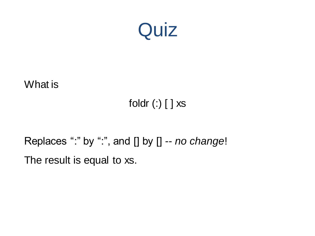

#### foldr (:) [ ] xs

#### Replaces ":" by ":", and [] by [] -- *no change*! The result is equal to xs.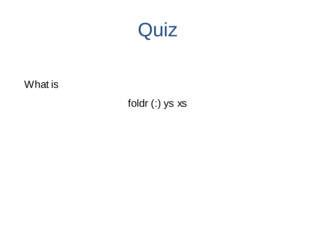

foldr (:) ys xs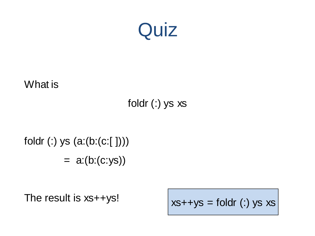

#### foldr (:) ys xs

#### foldr (:) ys (a:(b:(c:[ ])))  $= a:(b:(c:ys))$

The result is xs++ys!

 $xs++ys =$  foldr (:) ys  $xs$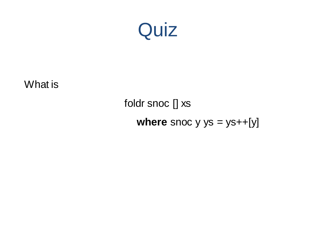

foldr snoc [] xs **where** snoc  $y$   $ys = ys++[y]$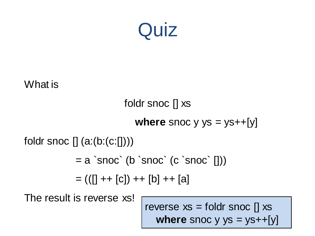

```
foldr snoc [] xs
                            where snoc y ys = ys++[y]foldr snoc [] (a:(b:(c:[])))
             = a `snoc` (b `snoc` (c `snoc` \vert \vert))
             = (([] + + [c]) + + [b] + + [a])
```
The result is reverse xs!

reverse  $xs =$  foldr snoc  $[]$  xs **where** snoc  $y$   $ys = ys++[y]$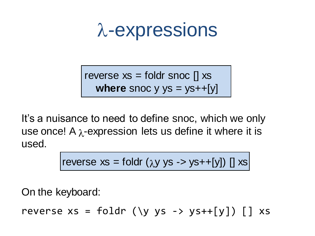$$
\lambda
$$
-expressions

reverse  $xs =$  foldr snoc  $[]$  xs **where** snoc  $y$   $ys = ys++[y]$ 

It's a nuisance to need to define snoc, which we only use once! A  $\lambda$ -expression lets us define it where it is used.

reverse xs = foldr (
$$
\lambda y
$$
 ys -> ys++[y]) [] xs

On the keyboard:

reverse  $xs = foldr$  (\y ys -> ys++[y]) [] xs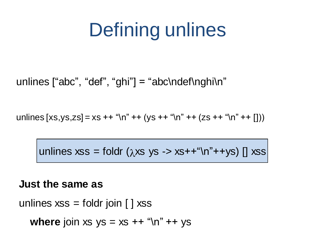# Defining unlines

unlines  $\lceil "abc", "def", "ghi"] = "abc\ndef\nghi\'n"$ 

unlines  $[xs,ys,zs] = xs + "n" + (ys ++ "n" + + (zs ++ "n" ++ (z')')$ 

unlines xss = foldr  $(\lambda x s y s - x s + f''(n'' + y s)$  [] xss

#### **Just the same as**

unlines  $xs =$  foldr join  $[]$  xss

**where** join xs ys = xs ++ "\n" ++ ys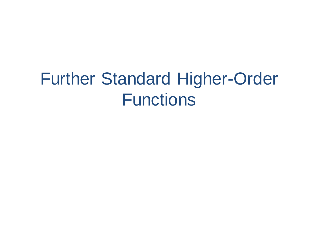#### Further Standard Higher-Order **Functions**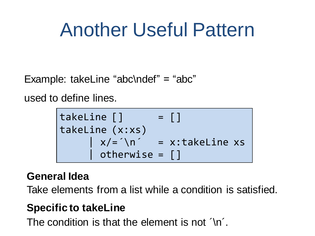### Another Useful Pattern

Example: takeLine "abc\ndef" = "abc"

used to define lines.

takeLine [] = [] takeLine (x:xs) | x/=´\n´ = x:takeLine xs | otherwise = []

#### **General Idea**

Take elements from a list while a condition is satisfied.

#### **Specific to takeLine**

The condition is that the element is not  $\gamma$ n'.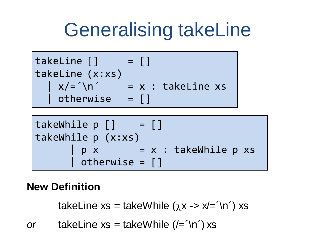### Generalising takeLine



takeWhile p [] = [] takeWhile p (x:xs) | p x = x : takeWhile p xs | otherwise = []

#### **New Definition**

takeLine  $xs = takeWhite$  ( $\lambda x \rightarrow x = \ln'$ ) xs

*or* takeLine  $xs = takeWhite(e^{-\ln}) xs$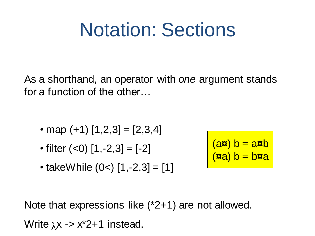#### Notation: Sections

As a shorthand, an operator with *one* argument stands for a function of the other…

- map  $(+1)$   $[1,2,3] = [2,3,4]$
- filter  $(<0)$  [1,-2,3] = [-2]
- takeWhile  $(0<)$  [1,-2,3] = [1]

$$
(a\overline{a}) b = a\overline{a}b
$$

$$
(a\overline{a}) b = b\overline{a}a
$$

Note that expressions like (\*2+1) are not allowed.

Write  $\lambda x \rightarrow x^*2+1$  instead.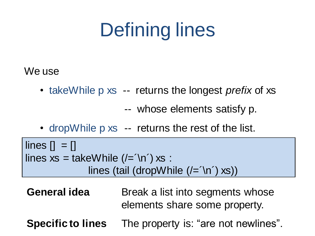# Defining lines

We use

• takeWhile p xs -- returns the longest *prefix* of xs

-- whose elements satisfy p.

• drop While p xs -- returns the rest of the list.

 $\text{lines } [] = []$ lines  $xs =$  takeWhile  $($ /= $\ln$  $)$  xs : lines (tail (dropWhile  $($ /= $\ln$ ) xs))

- **General idea** Break a list into segments whose elements share some property.
- **Specific to lines** The property is: "are not newlines".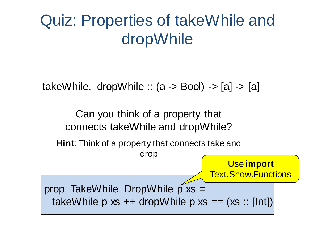#### Quiz: Properties of takeWhile and dropWhile

takeWhile, dropWhile  $\therefore$  (a -> Bool) -> [a] -> [a]

Can you think of a property that connects takeWhile and dropWhile?

**Hint**: Think of a property that connects take and

drop

Use **import**  Text.Show.Functions

prop\_TakeWhile\_DropWhile  $\tilde{p}$  xs = takeWhile p  $xs ++$  dropWhile p  $xs == (xs :: [Int])$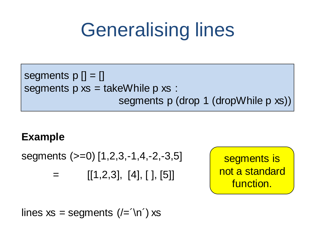### Generalising lines

segments 
$$
p[] = []
$$

\nsegments  $p \times s = \text{takeWhile } p \times s :$ 

\nsegments  $p \times s = \text{takeWhile } p \times s$ 

#### **Example**

segments (>=0) [1,2,3,-1,4,-2,-3,5]

 $=$  [[1,2,3], [4], [], [5]]

segments is not a standard function.

lines  $xs = segments$  (/= $\ln$ ) xs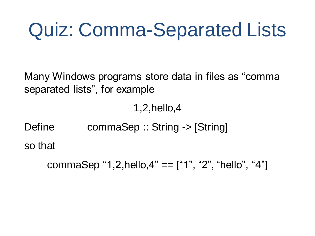### Quiz: Comma-Separated Lists

Many Windows programs store data in files as "comma separated lists", for example

1,2,hello,4

Define commaSep :: String -> [String] so that

commaSep "1,2,hello,4" == ["1", "2", "hello", "4"]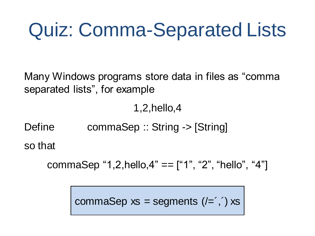## Quiz: Comma-Separated Lists

Many Windows programs store data in files as "comma separated lists", for example

1,2,hello,4

Define commaSep :: String -> [String] so that

commaSep "1,2,hello,4" ==  $[$ "1", "2", "hello", "4"]

commaSep  $xs = segments ( =',') xs$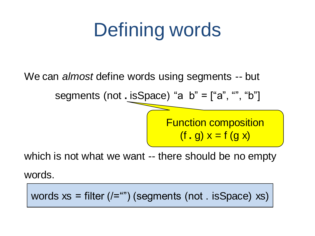# Defining words

We can *almost* define words using segments -- but

segments (not **.** isSpace) "a b" = ["a", "", "b"]

Function composition  $(f, g) x = f(g x)$ 

which is not what we want -- there should be no empty

words.

words  $xs$  = filter  $($ /="") (segments (not . isSpace) xs)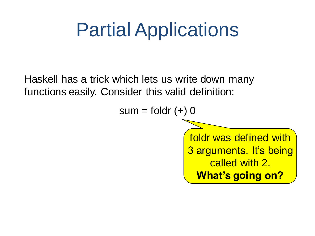### Partial Applications

Haskell has a trick which lets us write down many functions easily. Consider this valid definition:

 $sum = foldr (+) 0$ 

foldr was defined with 3 arguments. It's being called with 2. **What's going on?**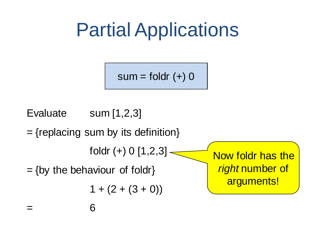### Partial Applications

 $sum = foldr (+) 0$ 

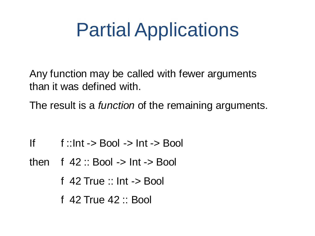### Partial Applications

Any function may be called with fewer arguments than it was defined with.

The result is a *function* of the remaining arguments.

- If  $\therefore$  f ::Int -> Bool -> Int -> Bool
- then  $f$  42 :: Bool  $\rightarrow$  Int  $\rightarrow$  Bool
	- f 42 True :: Int -> Bool
	- f 42 True 42 :: Bool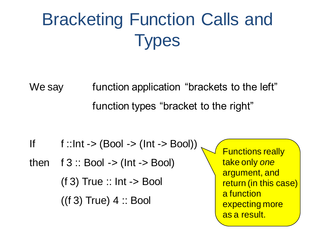#### Bracketing Function Calls and **Types**

We say function application "brackets to the left" function types "bracket to the right"

If  $f$ ::Int -> (Bool -> (Int -> Bool))

then  $f 3 :: Bool \rightarrow (Int -> Bool)$  $(f 3)$  True :: Int  $\rightarrow$  Bool  $((f 3) True) 4 :: Bool$ 

Functions really take only *one* argument, and return (in this case) a function expecting more as a result.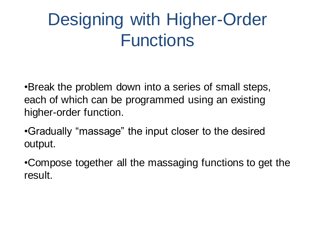#### Designing with Higher-Order **Functions**

•Break the problem down into a series of small steps, each of which can be programmed using an existing higher-order function.

•Gradually "massage" the input closer to the desired output.

•Compose together all the massaging functions to get the result.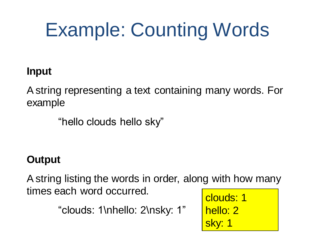# Example: Counting Words

#### **Input**

A string representing a text containing many words. For example

"hello clouds hello sky"

#### **Output**

A string listing the words in order, along with how many times each word occurred.

"clouds: 1\nhello: 2\nsky: 1"

clouds: 1 hello: 2 sky: 1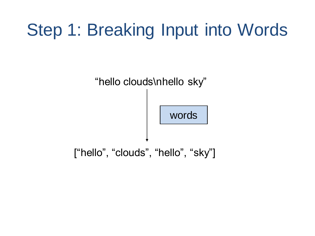#### Step 1: Breaking Input into Words

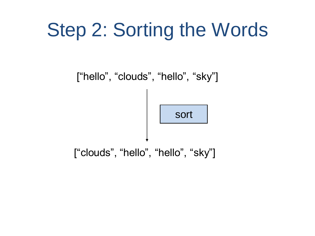## Step 2: Sorting the Words

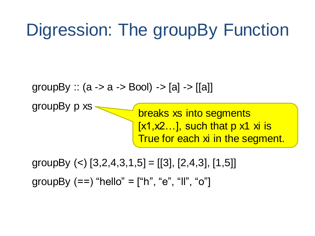#### Digression: The groupBy Function

groupBy ::  $(a \rightarrow a \rightarrow B)$  ->  $[a] \rightarrow |[a]]$ 

groupBy p xs breaks xs into segments  $[x1, x2$ ...], such that p  $x1$  xi is True for each xi in the segment.

groupBy  $(<)$  [3,2,4,3,1,5] = [[3], [2,4,3], [1,5]] groupBy  $(==)$  "hello" = ["h", "e", "ll", "o"]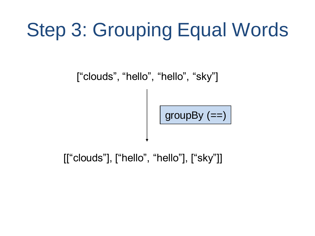# Step 3: Grouping Equal Words

["clouds", "hello", "hello", "sky"]

 $\boxed{\text{groupBy} (=)}$ 

[["clouds"], ["hello", "hello"], ["sky"]]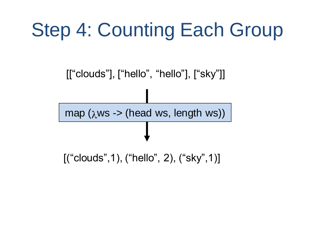### Step 4: Counting Each Group

[["clouds"], ["hello", "hello"], ["sky"]]

map ( $\lambda$ ws -> (head ws, length ws))

[("clouds", 1), ("hello", 2), ("sky", 1)]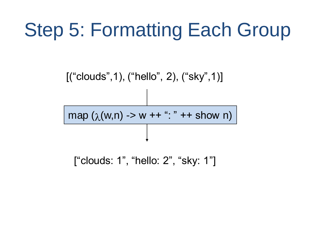# Step 5: Formatting Each Group

[("clouds", 1), ("hello", 2), ("sky", 1)]

 $map (\lambda(w,n) \rightarrow w++$  ": " ++ show n)

["clouds: 1", "hello: 2", "sky: 1"]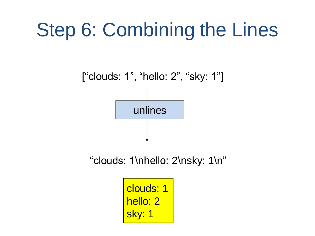### Step 6: Combining the Lines



"clouds: 1\nhello: 2\nsky: 1\n"

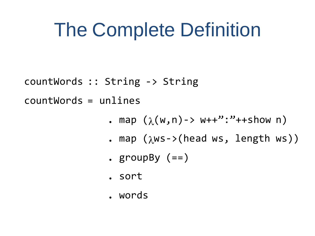#### The Complete Definition

countWords :: String -> String

countWords = unlines

- **.** map  $(\lambda(w,n)-\lambda w++"$ : "++show n)
- **.** map  $(\lambda$ ws->(head ws, length ws))
- **.** groupBy (==)
- **.** sort
- **.** words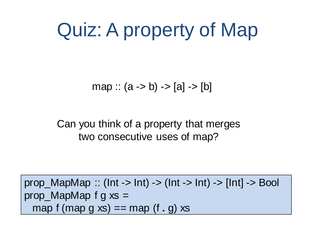### Quiz: A property of Map

map ::  $(a -> b) -> [a] -> [b]$ 

Can you think of a property that merges two consecutive uses of map?

prop\_MapMap :: (Int -> Int) -> (Int -> Int) -> [Int] -> Bool prop\_MapMap f g  $xs =$ map  $f$  (map  $g$   $xs$ ) == map  $(f, g)$   $xs$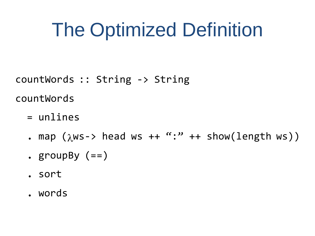### The Optimized Definition

countWords :: String -> String countWords

- = unlines
- . map  $(\lambda$ ws-> head ws ++ ":" ++ show(length ws))
- **.** groupBy (==)
- **.** sort
- **.** words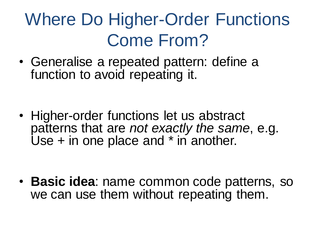#### Where Do Higher-Order Functions Come From?

• Generalise a repeated pattern: define a function to avoid repeating it.

• Higher-order functions let us abstract patterns that are *not exactly the same*, e.g. Use + in one place and \* in another.

• **Basic idea**: name common code patterns, so we can use them without repeating them.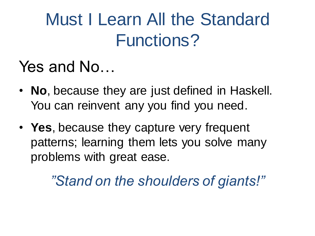#### Must I Learn All the Standard Functions?

#### Yes and No…

- **No**, because they are just defined in Haskell. You can reinvent any you find you need.
- **Yes**, because they capture very frequent patterns; learning them lets you solve many problems with great ease.

*"Stand on the shoulders of giants!"*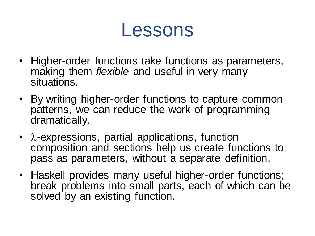#### Lessons

- Higher-order functions take functions as parameters, making them *flexible* and useful in very many situations.
- By writing higher-order functions to capture common patterns, we can reduce the work of programming dramatically.
- $\lambda$ -expressions, partial applications, function composition and sections help us create functions to pass as parameters, without a separate definition.
- Haskell provides many useful higher-order functions; break problems into small parts, each of which can be solved by an existing function.